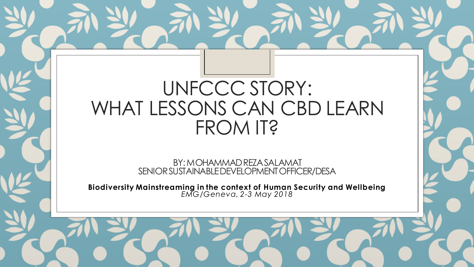# UNFCCC STORY: WHAT LESSONS CAN CBD LEARN FROM IT?

BY: MOHAMMAD REZA SALAMAT SENIOR SUSTAINABLE DEVELOPMENT OFFICER/DESA

**Biodiversity Mainstreaming in the context of Human Security and Wellbeing** *EMG/Geneva, 2-3 May 2018*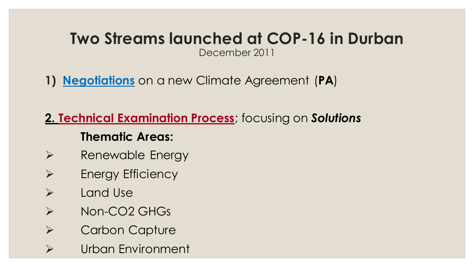# **Two Streams launched at COP-16 in Durban**

December 2011

**1) Negotiations** on a new Climate Agreement (**PA**)

**2. Technical Examination Process**; focusing on *Solutions* **Thematic Areas:**

- $\triangleright$  Renewable Energy
- $\triangleright$  Energy Efficiency
- $\triangleright$  Land Use
- > Non-CO2 GHGs
- **▶ Carbon Capture**
- Urban Environment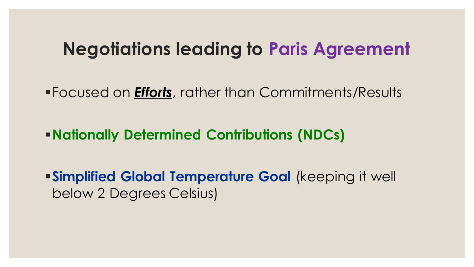### **Negotiations leading to Paris Agreement**

Focused on *Efforts*, rather than Commitments/Results

**Nationally Determined Contributions (NDCs)** 

**Simplified Global Temperature Goal (keeping it well** below 2 Degrees Celsius)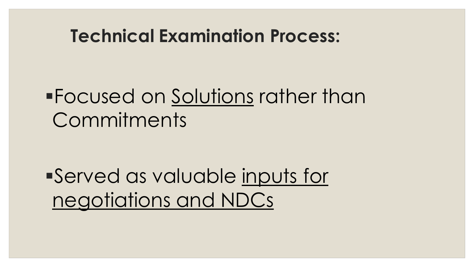## **Technical Examination Process:**

# Focused on Solutions rather than Commitments

Served as valuable inputs for negotiations and NDCs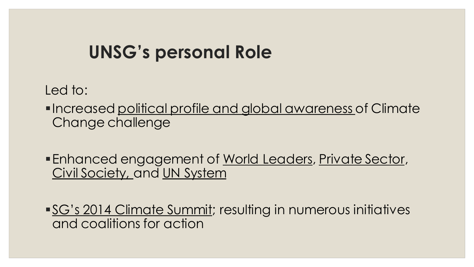## **UNSG's personal Role**

Led to:

- **Increased political profile and global awareness of Climate** Change challenge
- **Enhanced engagement of World Leaders, Private Sector,** Civil Society, and UN System
- **SG's 2014 Climate Summit; resulting in numerous initiatives** and coalitions for action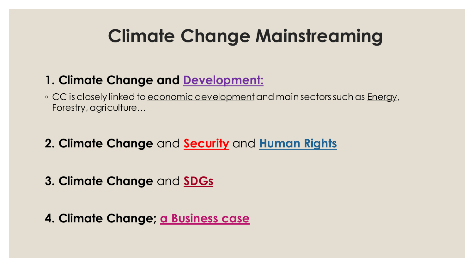# **Climate Change Mainstreaming**

#### **1. Climate Change and Development:**

◦ CC is closely linked to <u>economic development</u> and main sectors such as <u>Energy</u>, Forestry, agriculture…

**2. Climate Change** and **Security** and **Human Rights**

**3. Climate Change** and **SDGs**

**4. Climate Change; a Business case**